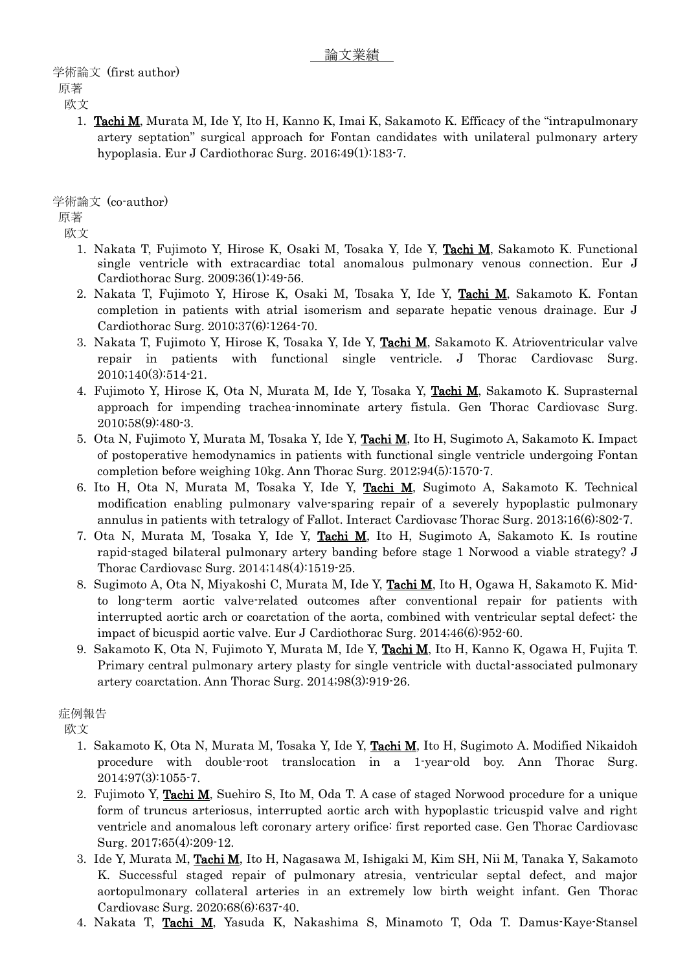欧文

1. Tachi M, Murata M, Ide Y, Ito H, Kanno K, Imai K, Sakamoto K. Efficacy of the "intrapulmonary artery septation" surgical approach for Fontan candidates with unilateral pulmonary artery hypoplasia. Eur J Cardiothorac Surg. 2016;49(1):183-7.

学術論文 (co-author)

原著

欧文

- 1. Nakata T, Fujimoto Y, Hirose K, Osaki M, Tosaka Y, Ide Y, Tachi M, Sakamoto K. Functional single ventricle with extracardiac total anomalous pulmonary venous connection. Eur J Cardiothorac Surg. 2009;36(1):49-56.
- 2. Nakata T, Fujimoto Y, Hirose K, Osaki M, Tosaka Y, Ide Y, Tachi M, Sakamoto K. Fontan completion in patients with atrial isomerism and separate hepatic venous drainage. Eur J Cardiothorac Surg. 2010;37(6):1264-70.
- 3. Nakata T, Fujimoto Y, Hirose K, Tosaka Y, Ide Y, Tachi M, Sakamoto K. Atrioventricular valve repair in patients with functional single ventricle. J Thorac Cardiovasc Surg. 2010;140(3):514-21.
- 4. Fujimoto Y, Hirose K, Ota N, Murata M, Ide Y, Tosaka Y, Tachi M, Sakamoto K. Suprasternal approach for impending trachea-innominate artery fistula. Gen Thorac Cardiovasc Surg. 2010;58(9):480-3.
- 5. Ota N, Fujimoto Y, Murata M, Tosaka Y, Ide Y, Tachi M, Ito H, Sugimoto A, Sakamoto K. Impact of postoperative hemodynamics in patients with functional single ventricle undergoing Fontan completion before weighing 10kg. Ann Thorac Surg. 2012;94(5):1570-7.
- 6. Ito H, Ota N, Murata M, Tosaka Y, Ide Y, Tachi M, Sugimoto A, Sakamoto K. Technical modification enabling pulmonary valve-sparing repair of a severely hypoplastic pulmonary annulus in patients with tetralogy of Fallot. Interact Cardiovasc Thorac Surg. 2013;16(6):802-7.
- 7. Ota N, Murata M, Tosaka Y, Ide Y, Tachi M, Ito H, Sugimoto A, Sakamoto K. Is routine rapid-staged bilateral pulmonary artery banding before stage 1 Norwood a viable strategy? J Thorac Cardiovasc Surg. 2014;148(4):1519-25.
- 8. Sugimoto A, Ota N, Miyakoshi C, Murata M, Ide Y, Tachi M, Ito H, Ogawa H, Sakamoto K. Midto long-term aortic valve-related outcomes after conventional repair for patients with interrupted aortic arch or coarctation of the aorta, combined with ventricular septal defect: the impact of bicuspid aortic valve. Eur J Cardiothorac Surg. 2014;46(6):952-60.
- 9. Sakamoto K, Ota N, Fujimoto Y, Murata M, Ide Y, Tachi M, Ito H, Kanno K, Ogawa H, Fujita T. Primary central pulmonary artery plasty for single ventricle with ductal-associated pulmonary artery coarctation. Ann Thorac Surg. 2014;98(3):919-26.

症例報告

欧文

- 1. Sakamoto K, Ota N, Murata M, Tosaka Y, Ide Y, Tachi M, Ito H, Sugimoto A. Modified Nikaidoh procedure with double-root translocation in a 1-year-old boy. Ann Thorac Surg. 2014;97(3):1055-7.
- 2. Fujimoto Y, Tachi M, Suehiro S, Ito M, Oda T. A case of staged Norwood procedure for a unique form of truncus arteriosus, interrupted aortic arch with hypoplastic tricuspid valve and right ventricle and anomalous left coronary artery orifice: first reported case. Gen Thorac Cardiovasc Surg. 2017;65(4):209-12.
- 3. Ide Y, Murata M, Tachi M, Ito H, Nagasawa M, Ishigaki M, Kim SH, Nii M, Tanaka Y, Sakamoto K. Successful staged repair of pulmonary atresia, ventricular septal defect, and major aortopulmonary collateral arteries in an extremely low birth weight infant. Gen Thorac Cardiovasc Surg. 2020;68(6):637-40.
- 4. Nakata T, Tachi M, Yasuda K, Nakashima S, Minamoto T, Oda T. Damus-Kaye-Stansel